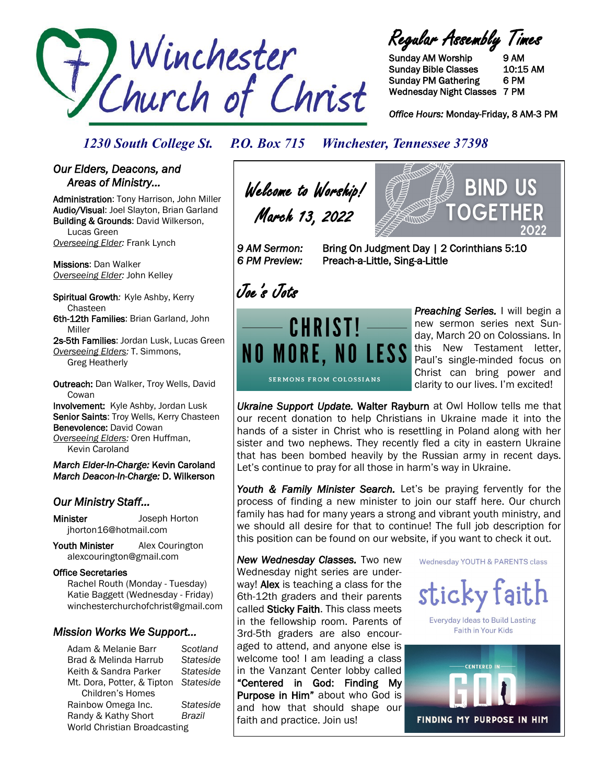

Regular Assembly Times

Sunday AM Worship 9 AM Sunday Bible Classes 10:15 AM Sunday PM Gathering 6 PM Wednesday Night Classes 7 PM

*Office Hours:* Monday-Friday, 8 AM-3 PM

BIND US

OGFT

### *1230 South College St. P.O. Box 715 Winchester, Tennessee 37398*

#### *Our Elders, Deacons, and Areas of Ministry…*

Administration: Tony Harrison, John Miller Audio/Visual: Joel Slayton, Brian Garland Building & Grounds: David Wilkerson, Lucas Green *Overseeing Elder:* Frank Lynch

Missions: Dan Walker *Overseeing Elder:* John Kelley

Spiritual Growth*:* Kyle Ashby, Kerry Chasteen 6th-12th Families: Brian Garland, John Miller

2s-5th Families: Jordan Lusk, Lucas Green *Overseeing Elders:* T. Simmons, Greg Heatherly

Outreach: Dan Walker, Troy Wells, David **Cowan** Involvement: Kyle Ashby, Jordan Lusk

Senior Saints: Troy Wells, Kerry Chasteen Benevolence: David Cowan *Overseeing Elders:* Oren Huffman, Kevin Caroland

*March Elder-In-Charge:* Kevin Caroland *March Deacon-In-Charge:* D. Wilkerson

#### *Our Ministry Staff…*

Minister Joseph Horton jhorton16@hotmail.com

Youth Minister Alex Courington alexcourington@gmail.com

#### Office Secretaries

 Rachel Routh (Monday - Tuesday) Katie Baggett (Wednesday - Friday) winchesterchurchofchrist@gmail.com

#### *Mission Works We Support…*

Adam & Melanie Barr *Scotland* Brad & Melinda Harrub *Stateside* Keith & Sandra Parker *Stateside* Mt. Dora, Potter, & Tipton *Stateside* Children's Homes Rainbow Omega Inc. *Stateside* Randy & Kathy Short *Brazil* World Christian Broadcasting

Welcome to Worship! March 13, 2022

*6 PM Preview:* Preach-a-Little, Sing-a-Little

*9 AM Sermon:* Bring On Judgment Day | 2 Corinthians 5:10

Joe's Jots



*Preaching Series.* I will begin a new sermon series next Sunday, March 20 on Colossians. In this New Testament letter, Paul's single-minded focus on Christ can bring power and clarity to our lives. I'm excited!

*Ukraine Support Update.* Walter Rayburn at Owl Hollow tells me that our recent donation to help Christians in Ukraine made it into the hands of a sister in Christ who is resettling in Poland along with her sister and two nephews. They recently fled a city in eastern Ukraine that has been bombed heavily by the Russian army in recent days. Let's continue to pray for all those in harm's way in Ukraine.

Youth & Family Minister Search. Let's be praying fervently for the process of finding a new minister to join our staff here. Our church family has had for many years a strong and vibrant youth ministry, and we should all desire for that to continue! The full job description for this position can be found on our website, if you want to check it out.

*New Wednesday Classes.* Two new Wednesday night series are underway! Alex is teaching a class for the 6th-12th graders and their parents called Sticky Faith. This class meets in the fellowship room. Parents of 3rd-5th graders are also encouraged to attend, and anyone else is welcome too! I am leading a class in the Vanzant Center lobby called "Centered in God: Finding My Purpose in Him" about who God is and how that should shape our faith and practice. Join us!

Wednesday YOUTH & PARENTS class



**Everyday Ideas to Build Lasting** Faith in Your Kids